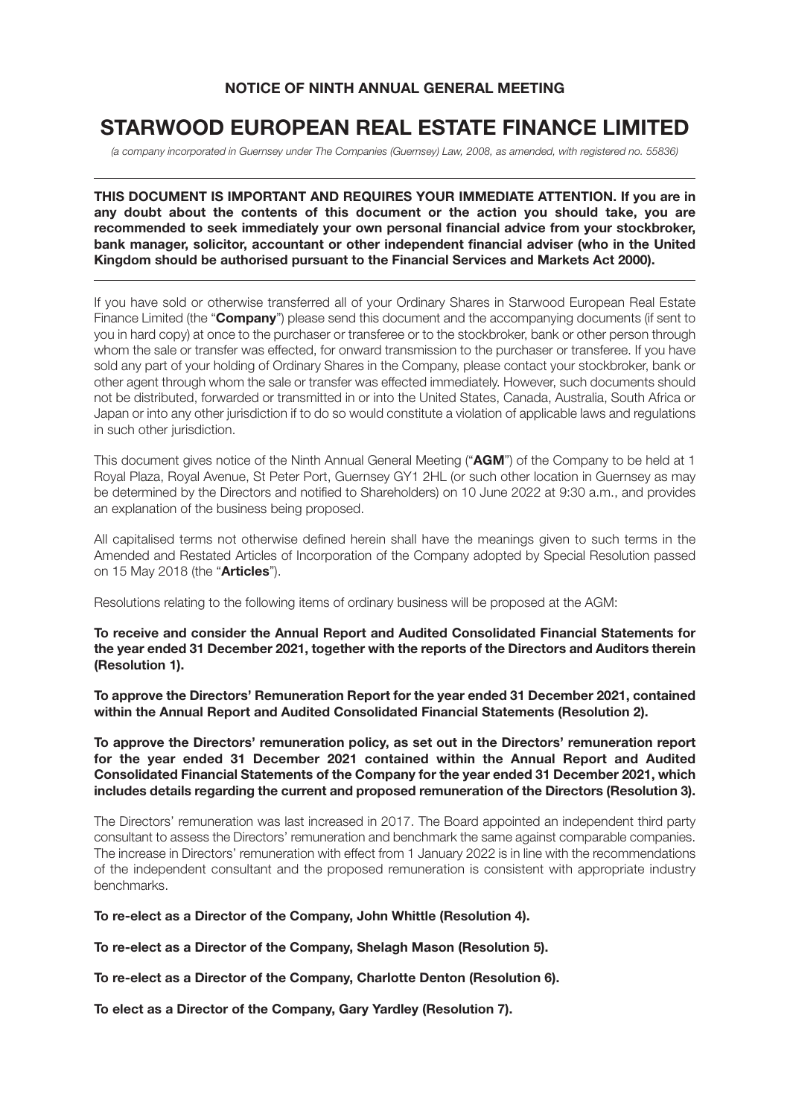## **NOTICE OF NINTH ANNUAL GENERAL MEETING**

# **STARWOOD EUROPEAN REAL ESTATE FINANCE LIMITED**

(a company incorporated in Guernsey under The Companies (Guernsey) Law, 2008, as amended, with registered no. 55836)

### **THIS DOCUMENT IS IMPORTANT AND REQUIRES YOUR IMMEDIATE ATTENTION. If you are in any doubt about the contents of this document or the action you should take, you are recommended to seek immediately your own personal financial advice from your stockbroker, bank manager, solicitor, accountant or other independent financial adviser (who in the United Kingdom should be authorised pursuant to the Financial Services and Markets Act 2000).**

If you have sold or otherwise transferred all of your Ordinary Shares in Starwood European Real Estate Finance Limited (the "**Company**") please send this document and the accompanying documents (if sent to you in hard copy) at once to the purchaser or transferee or to the stockbroker, bank or other person through whom the sale or transfer was effected, for onward transmission to the purchaser or transferee. If you have sold any part of your holding of Ordinary Shares in the Company, please contact your stockbroker, bank or other agent through whom the sale or transfer was effected immediately. However, such documents should not be distributed, forwarded or transmitted in or into the United States, Canada, Australia, South Africa or Japan or into any other jurisdiction if to do so would constitute a violation of applicable laws and regulations in such other jurisdiction.

This document gives notice of the Ninth Annual General Meeting ("**AGM**") of the Company to be held at 1 Royal Plaza, Royal Avenue, St Peter Port, Guernsey GY1 2HL (or such other location in Guernsey as may be determined by the Directors and notified to Shareholders) on 10 June 2022 at 9:30 a.m., and provides an explanation of the business being proposed.

All capitalised terms not otherwise defined herein shall have the meanings given to such terms in the Amended and Restated Articles of Incorporation of the Company adopted by Special Resolution passed on 15 May 2018 (the "**Articles**").

Resolutions relating to the following items of ordinary business will be proposed at the AGM:

**To receive and consider the Annual Report and Audited Consolidated Financial Statements for the year ended 31 December 2021, together with the reports of the Directors and Auditors therein (Resolution 1).**

**To approve the Directors' Remuneration Report for the year ended 31 December 2021, contained within the Annual Report and Audited Consolidated Financial Statements (Resolution 2).**

**To approve the Directors' remuneration policy, as set out in the Directors' remuneration report for the year ended 31 December 2021 contained within the Annual Report and Audited Consolidated Financial Statements of the Company for the year ended 31 December 2021, which includes details regarding the current and proposed remuneration of the Directors (Resolution 3).**

The Directors' remuneration was last increased in 2017. The Board appointed an independent third party consultant to assess the Directors' remuneration and benchmark the same against comparable companies. The increase in Directors' remuneration with effect from 1 January 2022 is in line with the recommendations of the independent consultant and the proposed remuneration is consistent with appropriate industry benchmarks.

**To re-elect as a Director of the Company, John Whittle (Resolution 4).**

**To re-elect as a Director of the Company, Shelagh Mason (Resolution 5).**

**To re-elect as a Director of the Company, Charlotte Denton (Resolution 6).**

**To elect as a Director of the Company, Gary Yardley (Resolution 7).**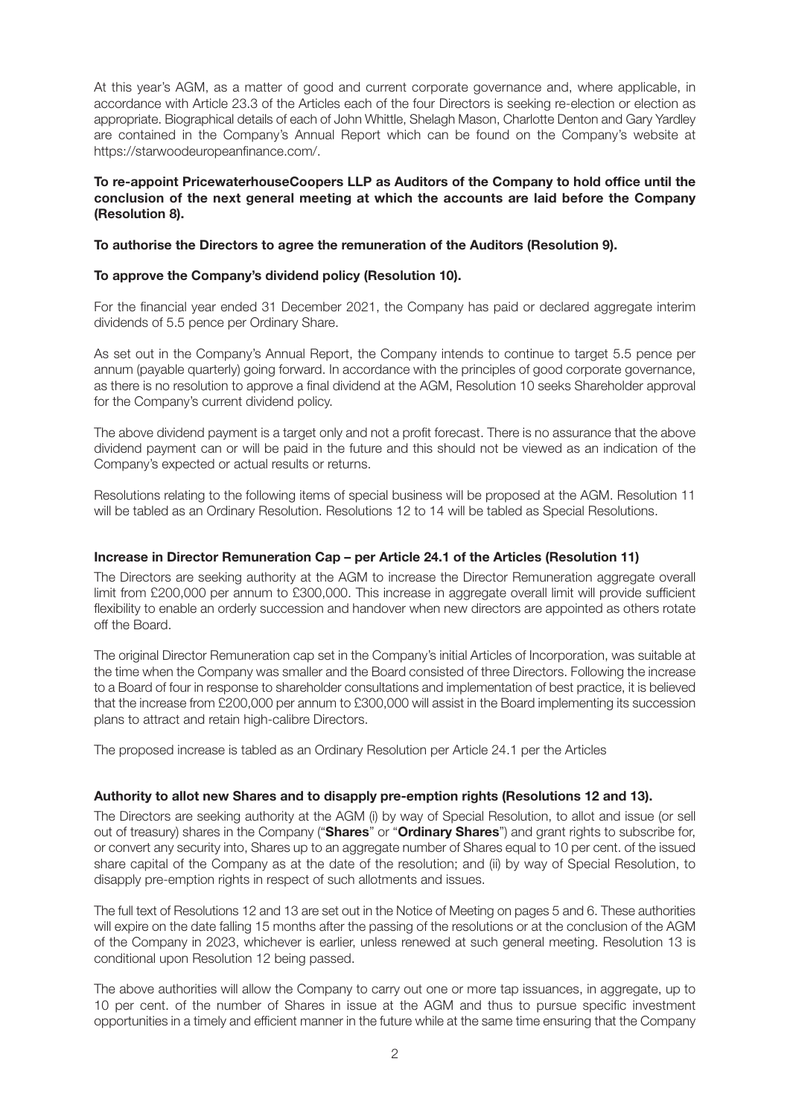At this year's AGM, as a matter of good and current corporate governance and, where applicable, in accordance with Article 23.3 of the Articles each of the four Directors is seeking re-election or election as appropriate. Biographical details of each of John Whittle, Shelagh Mason, Charlotte Denton and Gary Yardley are contained in the Company's Annual Report which can be found on the Company's website at https://starwoodeuropeanfinance.com/.

### **To re-appoint PricewaterhouseCoopers LLP as Auditors of the Company to hold office until the conclusion of the next general meeting at which the accounts are laid before the Company (Resolution 8).**

### **To authorise the Directors to agree the remuneration of the Auditors (Resolution 9).**

### **To approve the Company's dividend policy (Resolution 10).**

For the financial year ended 31 December 2021, the Company has paid or declared aggregate interim dividends of 5.5 pence per Ordinary Share.

As set out in the Company's Annual Report, the Company intends to continue to target 5.5 pence per annum (payable quarterly) going forward. In accordance with the principles of good corporate governance, as there is no resolution to approve a final dividend at the AGM, Resolution 10 seeks Shareholder approval for the Company's current dividend policy.

The above dividend payment is a target only and not a profit forecast. There is no assurance that the above dividend payment can or will be paid in the future and this should not be viewed as an indication of the Company's expected or actual results or returns.

Resolutions relating to the following items of special business will be proposed at the AGM. Resolution 11 will be tabled as an Ordinary Resolution. Resolutions 12 to 14 will be tabled as Special Resolutions.

### **Increase in Director Remuneration Cap – per Article 24.1 of the Articles (Resolution 11)**

The Directors are seeking authority at the AGM to increase the Director Remuneration aggregate overall limit from £200,000 per annum to £300,000. This increase in aggregate overall limit will provide sufficient flexibility to enable an orderly succession and handover when new directors are appointed as others rotate off the Board.

The original Director Remuneration cap set in the Company's initial Articles of Incorporation, was suitable at the time when the Company was smaller and the Board consisted of three Directors. Following the increase to a Board of four in response to shareholder consultations and implementation of best practice, it is believed that the increase from £200,000 per annum to £300,000 will assist in the Board implementing its succession plans to attract and retain high-calibre Directors.

The proposed increase is tabled as an Ordinary Resolution per Article 24.1 per the Articles

### **Authority to allot new Shares and to disapply pre-emption rights (Resolutions 12 and 13).**

The Directors are seeking authority at the AGM (i) by way of Special Resolution, to allot and issue (or sell out of treasury) shares in the Company ("**Shares**" or "**Ordinary Shares**") and grant rights to subscribe for, or convert any security into, Shares up to an aggregate number of Shares equal to 10 per cent. of the issued share capital of the Company as at the date of the resolution; and (ii) by way of Special Resolution, to disapply pre-emption rights in respect of such allotments and issues.

The full text of Resolutions 12 and 13 are set out in the Notice of Meeting on pages 5 and 6. These authorities will expire on the date falling 15 months after the passing of the resolutions or at the conclusion of the AGM of the Company in 2023, whichever is earlier, unless renewed at such general meeting. Resolution 13 is conditional upon Resolution 12 being passed.

The above authorities will allow the Company to carry out one or more tap issuances, in aggregate, up to 10 per cent. of the number of Shares in issue at the AGM and thus to pursue specific investment opportunities in a timely and efficient manner in the future while at the same time ensuring that the Company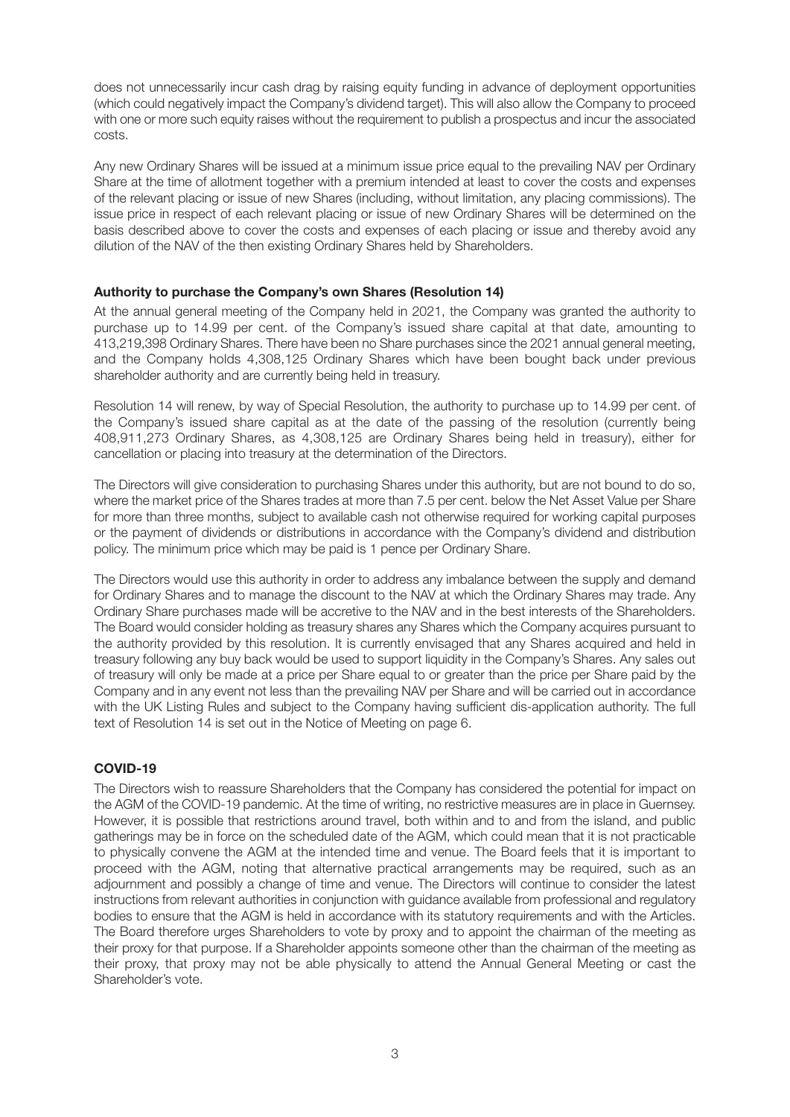does not unnecessarily incur cash drag by raising equity funding in advance of deployment opportunities (which could negatively impact the Company's dividend target). This will also allow the Company to proceed with one or more such equity raises without the requirement to publish a prospectus and incur the associated costs.

Any new Ordinary Shares will be issued at a minimum issue price equal to the prevailing NAV per Ordinary Share at the time of allotment together with a premium intended at least to cover the costs and expenses of the relevant placing or issue of new Shares (including, without limitation, any placing commissions). The issue price in respect of each relevant placing or issue of new Ordinary Shares will be determined on the basis described above to cover the costs and expenses of each placing or issue and thereby avoid any dilution of the NAV of the then existing Ordinary Shares held by Shareholders.

### **Authority to purchase the Company's own Shares (Resolution 14)**

At the annual general meeting of the Company held in 2021, the Company was granted the authority to purchase up to 14.99 per cent. of the Company's issued share capital at that date, amounting to 413,219,398 Ordinary Shares. There have been no Share purchases since the 2021 annual general meeting, and the Company holds 4,308,125 Ordinary Shares which have been bought back under previous shareholder authority and are currently being held in treasury.

Resolution 14 will renew, by way of Special Resolution, the authority to purchase up to 14.99 per cent. of the Company's issued share capital as at the date of the passing of the resolution (currently being 408,911,273 Ordinary Shares, as 4,308,125 are Ordinary Shares being held in treasury), either for cancellation or placing into treasury at the determination of the Directors.

The Directors will give consideration to purchasing Shares under this authority, but are not bound to do so, where the market price of the Shares trades at more than 7.5 per cent. below the Net Asset Value per Share for more than three months, subject to available cash not otherwise required for working capital purposes or the payment of dividends or distributions in accordance with the Company's dividend and distribution policy. The minimum price which may be paid is 1 pence per Ordinary Share.

The Directors would use this authority in order to address any imbalance between the supply and demand for Ordinary Shares and to manage the discount to the NAV at which the Ordinary Shares may trade. Any Ordinary Share purchases made will be accretive to the NAV and in the best interests of the Shareholders. The Board would consider holding as treasury shares any Shares which the Company acquires pursuant to the authority provided by this resolution. It is currently envisaged that any Shares acquired and held in treasury following any buy back would be used to support liquidity in the Company's Shares. Any sales out of treasury will only be made at a price per Share equal to or greater than the price per Share paid by the Company and in any event not less than the prevailing NAV per Share and will be carried out in accordance with the UK Listing Rules and subject to the Company having sufficient dis-application authority. The full text of Resolution 14 is set out in the Notice of Meeting on page 6.

### **COVID-19**

The Directors wish to reassure Shareholders that the Company has considered the potential for impact on the AGM of the COVID-19 pandemic. At the time of writing, no restrictive measures are in place in Guernsey. However, it is possible that restrictions around travel, both within and to and from the island, and public gatherings may be in force on the scheduled date of the AGM, which could mean that it is not practicable to physically convene the AGM at the intended time and venue. The Board feels that it is important to proceed with the AGM, noting that alternative practical arrangements may be required, such as an adjournment and possibly a change of time and venue. The Directors will continue to consider the latest instructions from relevant authorities in conjunction with guidance available from professional and regulatory bodies to ensure that the AGM is held in accordance with its statutory requirements and with the Articles. The Board therefore urges Shareholders to vote by proxy and to appoint the chairman of the meeting as their proxy for that purpose. If a Shareholder appoints someone other than the chairman of the meeting as their proxy, that proxy may not be able physically to attend the Annual General Meeting or cast the Shareholder's vote.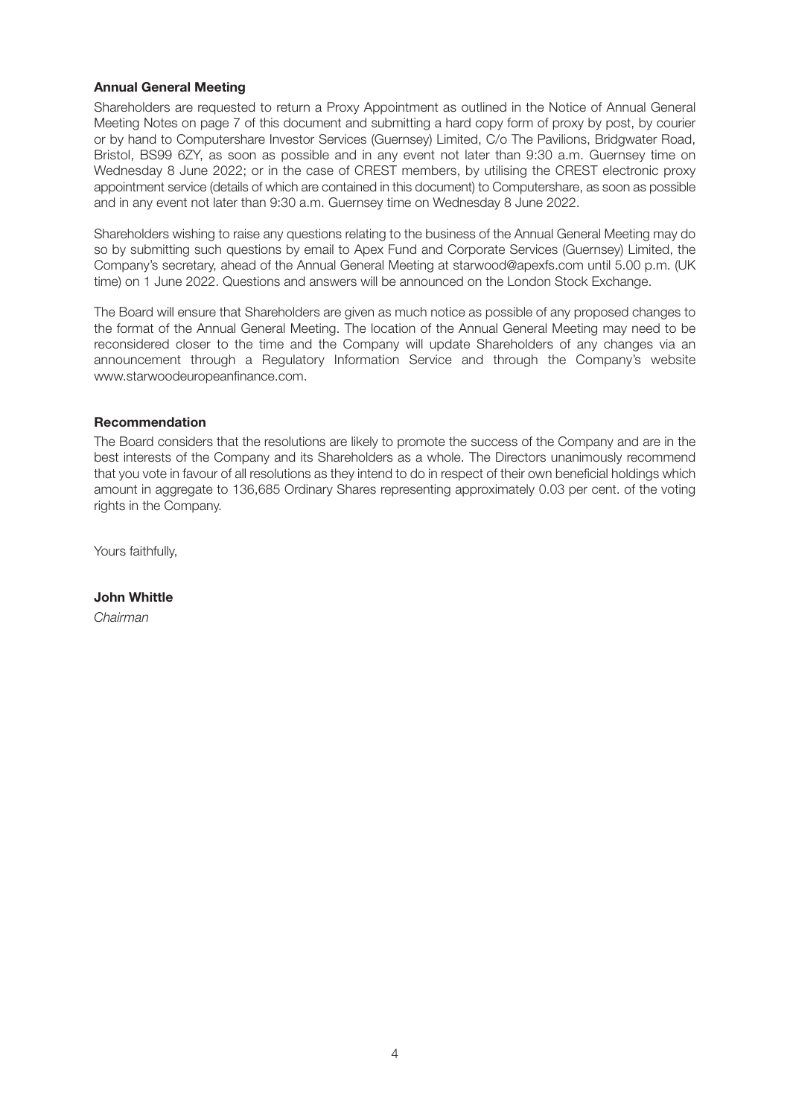### **Annual General Meeting**

Shareholders are requested to return a Proxy Appointment as outlined in the Notice of Annual General Meeting Notes on page 7 of this document and submitting a hard copy form of proxy by post, by courier or by hand to Computershare Investor Services (Guernsey) Limited, C/o The Pavilions, Bridgwater Road, Bristol, BS99 6ZY, as soon as possible and in any event not later than 9:30 a.m. Guernsey time on Wednesday 8 June 2022; or in the case of CREST members, by utilising the CREST electronic proxy appointment service (details of which are contained in this document) to Computershare, as soon as possible and in any event not later than 9:30 a.m. Guernsey time on Wednesday 8 June 2022.

Shareholders wishing to raise any questions relating to the business of the Annual General Meeting may do so by submitting such questions by email to Apex Fund and Corporate Services (Guernsey) Limited, the Company's secretary, ahead of the Annual General Meeting at starwood@apexfs.com until 5.00 p.m. (UK time) on 1 June 2022. Questions and answers will be announced on the London Stock Exchange.

The Board will ensure that Shareholders are given as much notice as possible of any proposed changes to the format of the Annual General Meeting. The location of the Annual General Meeting may need to be reconsidered closer to the time and the Company will update Shareholders of any changes via an announcement through a Regulatory Information Service and through the Company's website www.starwoodeuropeanfinance.com.

### **Recommendation**

The Board considers that the resolutions are likely to promote the success of the Company and are in the best interests of the Company and its Shareholders as a whole. The Directors unanimously recommend that you vote in favour of all resolutions as they intend to do in respect of their own beneficial holdings which amount in aggregate to 136,685 Ordinary Shares representing approximately 0.03 per cent. of the voting rights in the Company.

Yours faithfully,

**John Whittle** Chairman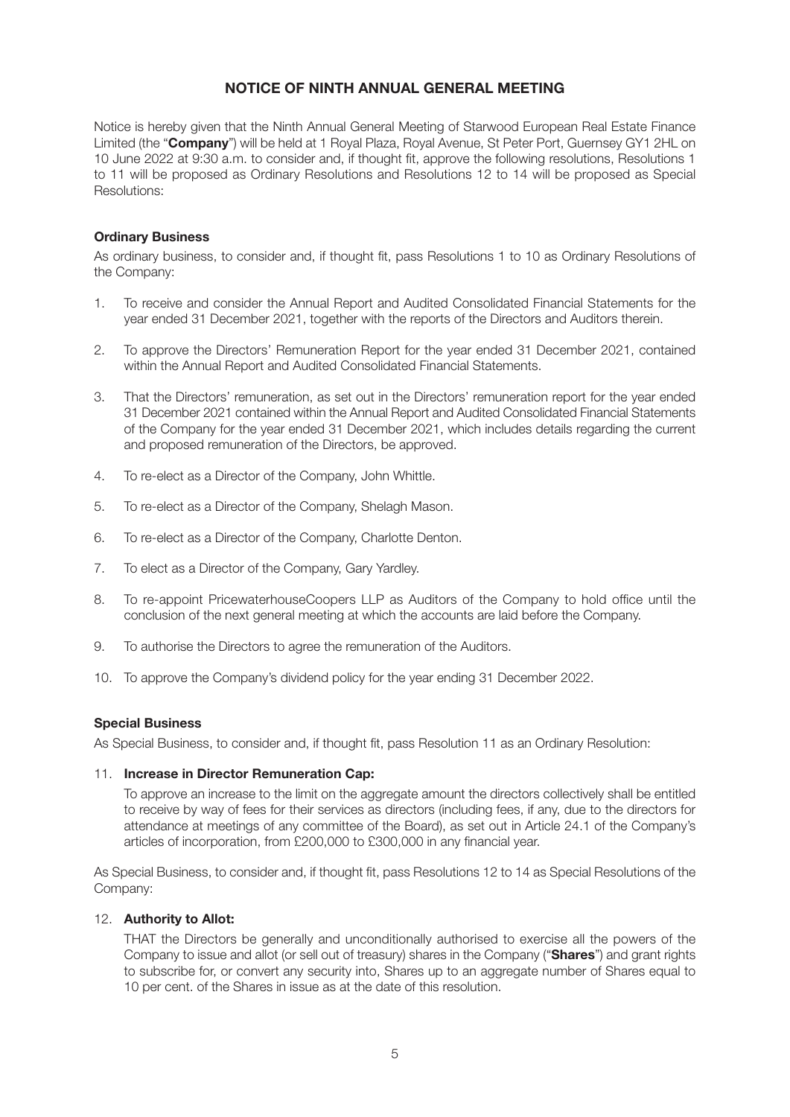### **NOTICE OF NINTH ANNUAL GENERAL MEETING**

Notice is hereby given that the Ninth Annual General Meeting of Starwood European Real Estate Finance Limited (the "**Company**") will be held at 1 Royal Plaza, Royal Avenue, St Peter Port, Guernsey GY1 2HL on 10 June 2022 at 9:30 a.m. to consider and, if thought fit, approve the following resolutions, Resolutions 1 to 11 will be proposed as Ordinary Resolutions and Resolutions 12 to 14 will be proposed as Special Resolutions:

### **Ordinary Business**

As ordinary business, to consider and, if thought fit, pass Resolutions 1 to 10 as Ordinary Resolutions of the Company:

- 1. To receive and consider the Annual Report and Audited Consolidated Financial Statements for the year ended 31 December 2021, together with the reports of the Directors and Auditors therein.
- 2. To approve the Directors' Remuneration Report for the year ended 31 December 2021, contained within the Annual Report and Audited Consolidated Financial Statements.
- 3. That the Directors' remuneration, as set out in the Directors' remuneration report for the year ended 31 December 2021 contained within the Annual Report and Audited Consolidated Financial Statements of the Company for the year ended 31 December 2021, which includes details regarding the current and proposed remuneration of the Directors, be approved.
- 4. To re-elect as a Director of the Company, John Whittle.
- 5. To re-elect as a Director of the Company, Shelagh Mason.
- 6. To re-elect as a Director of the Company, Charlotte Denton.
- 7. To elect as a Director of the Company, Gary Yardley.
- 8. To re-appoint PricewaterhouseCoopers LLP as Auditors of the Company to hold office until the conclusion of the next general meeting at which the accounts are laid before the Company.
- 9. To authorise the Directors to agree the remuneration of the Auditors.
- 10. To approve the Company's dividend policy for the year ending 31 December 2022.

### **Special Business**

As Special Business, to consider and, if thought fit, pass Resolution 11 as an Ordinary Resolution:

### 11. **Increase in Director Remuneration Cap:**

To approve an increase to the limit on the aggregate amount the directors collectively shall be entitled to receive by way of fees for their services as directors (including fees, if any, due to the directors for attendance at meetings of any committee of the Board), as set out in Article 24.1 of the Company's articles of incorporation, from £200,000 to £300,000 in any financial year.

As Special Business, to consider and, if thought fit, pass Resolutions 12 to 14 as Special Resolutions of the Company:

### 12. **Authority to Allot:**

THAT the Directors be generally and unconditionally authorised to exercise all the powers of the Company to issue and allot (or sell out of treasury) shares in the Company ("**Shares**") and grant rights to subscribe for, or convert any security into, Shares up to an aggregate number of Shares equal to 10 per cent. of the Shares in issue as at the date of this resolution.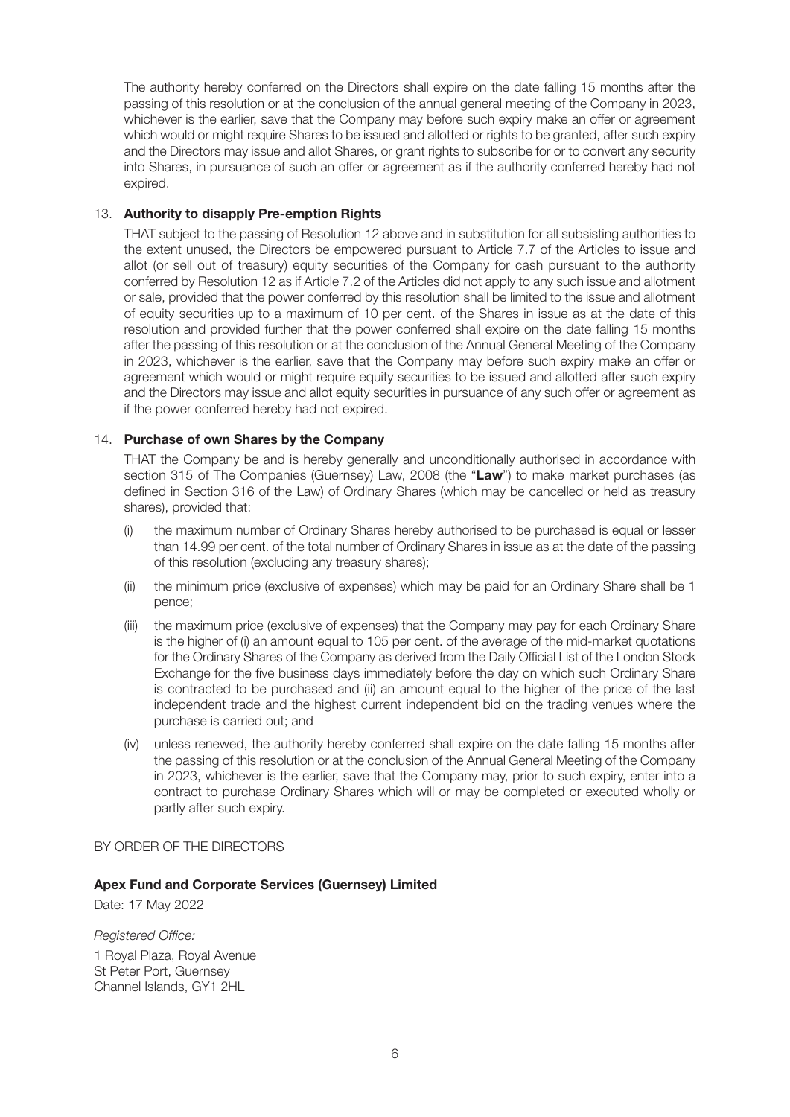The authority hereby conferred on the Directors shall expire on the date falling 15 months after the passing of this resolution or at the conclusion of the annual general meeting of the Company in 2023, whichever is the earlier, save that the Company may before such expiry make an offer or agreement which would or might require Shares to be issued and allotted or rights to be granted, after such expiry and the Directors may issue and allot Shares, or grant rights to subscribe for or to convert any security into Shares, in pursuance of such an offer or agreement as if the authority conferred hereby had not expired.

### 13. **Authority to disapply Pre-emption Rights**

THAT subject to the passing of Resolution 12 above and in substitution for all subsisting authorities to the extent unused, the Directors be empowered pursuant to Article 7.7 of the Articles to issue and allot (or sell out of treasury) equity securities of the Company for cash pursuant to the authority conferred by Resolution 12 as if Article 7.2 of the Articles did not apply to any such issue and allotment or sale, provided that the power conferred by this resolution shall be limited to the issue and allotment of equity securities up to a maximum of 10 per cent. of the Shares in issue as at the date of this resolution and provided further that the power conferred shall expire on the date falling 15 months after the passing of this resolution or at the conclusion of the Annual General Meeting of the Company in 2023, whichever is the earlier, save that the Company may before such expiry make an offer or agreement which would or might require equity securities to be issued and allotted after such expiry and the Directors may issue and allot equity securities in pursuance of any such offer or agreement as if the power conferred hereby had not expired.

### 14. **Purchase of own Shares by the Company**

THAT the Company be and is hereby generally and unconditionally authorised in accordance with section 315 of The Companies (Guernsey) Law, 2008 (the "**Law**") to make market purchases (as defined in Section 316 of the Law) of Ordinary Shares (which may be cancelled or held as treasury shares), provided that:

- (i) the maximum number of Ordinary Shares hereby authorised to be purchased is equal or lesser than 14.99 per cent. of the total number of Ordinary Shares in issue as at the date of the passing of this resolution (excluding any treasury shares);
- (ii) the minimum price (exclusive of expenses) which may be paid for an Ordinary Share shall be 1 pence;
- (iii) the maximum price (exclusive of expenses) that the Company may pay for each Ordinary Share is the higher of (i) an amount equal to 105 per cent. of the average of the mid-market quotations for the Ordinary Shares of the Company as derived from the Daily Official List of the London Stock Exchange for the five business days immediately before the day on which such Ordinary Share is contracted to be purchased and (ii) an amount equal to the higher of the price of the last independent trade and the highest current independent bid on the trading venues where the purchase is carried out; and
- (iv) unless renewed, the authority hereby conferred shall expire on the date falling 15 months after the passing of this resolution or at the conclusion of the Annual General Meeting of the Company in 2023, whichever is the earlier, save that the Company may, prior to such expiry, enter into a contract to purchase Ordinary Shares which will or may be completed or executed wholly or partly after such expiry.

### BY ORDER OF THE DIRECTORS

### **Apex Fund and Corporate Services (Guernsey) Limited**

Date: 17 May 2022

Registered Office:

1 Royal Plaza, Royal Avenue St Peter Port, Guernsey Channel Islands, GY1 2HL